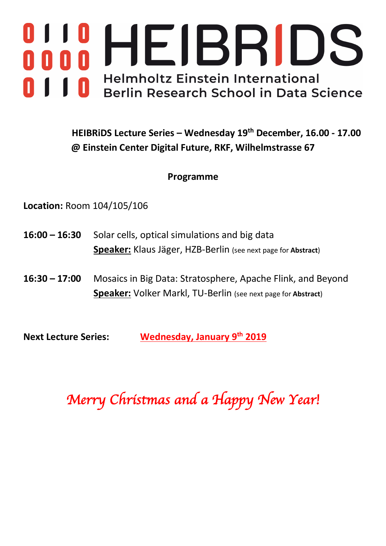

**HEIBRiDS Lecture Series – Wednesday 19th December, 16.00 - 17.00 @ Einstein Center Digital Future, RKF, Wilhelmstrasse 67**

### **Programme**

**Location:** Room 104/105/106

- **16:00 – 16:30** Solar cells, optical simulations and big data **Speaker:** Klaus Jäger, HZB-Berlin (see next page for **Abstract**)
- **16:30 – 17:00** Mosaics in Big Data: Stratosphere, Apache Flink, and Beyond **Speaker:** Volker Markl, TU-Berlin (see next page for **Abstract**)

**Next Lecture Series: Wednesday, January 9th 2019**

*Merry Christmas and a Happy New Year!*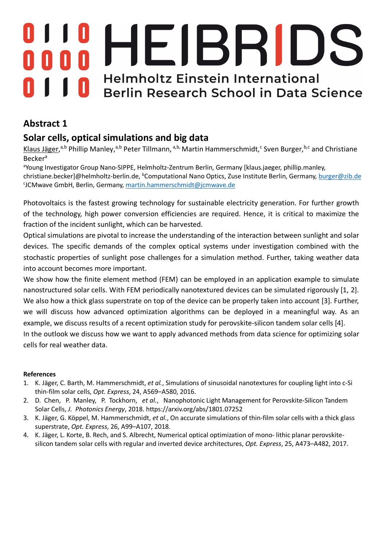# EIBRID **Helmholtz Einstein International** Berlin Research School in Data Science

## **Abstract 1**

### **Solar cells, optical simulations and big data**

Klaus Jäger,<sup>a,b</sup> Phillip Manley,<sup>a,b</sup> Peter Tillmann, <sup>a,b,</sup> Martin Hammerschmidt,<sup>c</sup> Sven Burger,<sup>b,c</sup> and Christiane **Becker**<sup>a</sup>

<sup>a</sup>Young Investigator Group Nano-SIPPE, Helmholtz-Zentrum Berlin, Germany [klaus.jaeger, phillip.manley, christiane.becker]@helmholtz-berlin.de, <sup>b</sup>Computational Nano Optics, Zuse Institute Berlin, Germany, **burger@zib.de** <sup>c</sup>JCMwave GmbH, Berlin, Germany, martin.hammerschmidt@jcmwave.de

Photovoltaics is the fastest growing technology for sustainable electricity generation. For further growth of the technology, high power conversion efficiencies are required. Hence, it is critical to maximize the fraction of the incident sunlight, which can be harvested.

Optical simulations are pivotal to increase the understanding of the interaction between sunlight and solar devices. The specific demands of the complex optical systems under investigation combined with the stochastic properties of sunlight pose challenges for a simulation method. Further, taking weather data into account becomes more important.

We show how the finite element method (FEM) can be employed in an application example to simulate nanostructured solar cells. With FEM periodically nanotextured devices can be simulated rigorously [1, 2]. We also how a thick glass superstrate on top of the device can be properly taken into account [3]. Further, we will discuss how advanced optimization algorithms can be deployed in a meaningful way. As an example, we discuss results of a recent optimization study for perovskite-silicon tandem solar cells [4]. In the outlook we discuss how we want to apply advanced methods from data science for optimizing solar cells for real weather data.

#### **References**

- 1. K. Jäger, C. Barth, M. Hammerschmidt, *et al.*, Simulations of sinusoidal nanotextures for coupling light into c-Si thin-film solar cells, *Opt. Express*, 24, A569–A580, 2016.
- 2. D. Chen, P. Manley, P. Tockhorn, *et al.*, Nanophotonic Light Management for Perovskite-Silicon Tandem Solar Cells, *J. Photonics Energy*, 2018. https://arxiv.org/abs/1801.07252
- 3. K. Jäger, G. Köppel, M. Hammerschmidt, *et al.*, On accurate simulations of thin-film solar cells with a thick glass superstrate, *Opt. Express*, 26, A99–A107, 2018.
- 4. K. Jäger, L. Korte, B. Rech, and S. Albrecht, Numerical optical optimization of mono- lithic planar perovskitesilicon tandem solar cells with regular and inverted device architectures, *Opt. Express*, 25, A473–A482, 2017.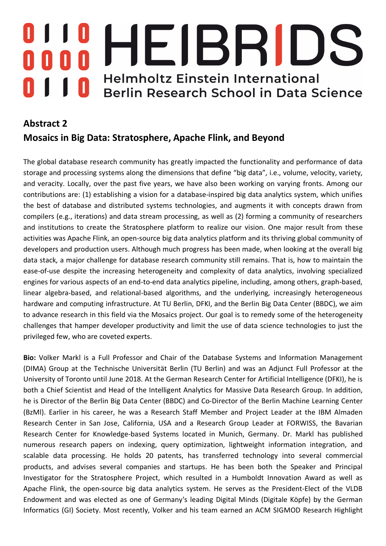# HEIBRID **Helmholtz Einstein International** Berlin Research School in Data Science

# **Abstract 2 Mosaics in Big Data: Stratosphere, Apache Flink, and Beyond**

The global database research community has greatly impacted the functionality and performance of data storage and processing systems along the dimensions that define "big data", i.e., volume, velocity, variety, and veracity. Locally, over the past five years, we have also been working on varying fronts. Among our contributions are: (1) establishing a vision for a database-inspired big data analytics system, which unifies the best of database and distributed systems technologies, and augments it with concepts drawn from compilers (e.g., iterations) and data stream processing, as well as (2) forming a community of researchers and institutions to create the Stratosphere platform to realize our vision. One major result from these activities was Apache Flink, an open-source big data analytics platform and its thriving global community of developers and production users. Although much progress has been made, when looking at the overall big data stack, a major challenge for database research community still remains. That is, how to maintain the ease-of-use despite the increasing heterogeneity and complexity of data analytics, involving specialized engines for various aspects of an end-to-end data analytics pipeline, including, among others, graph-based, linear algebra-based, and relational-based algorithms, and the underlying, increasingly heterogeneous hardware and computing infrastructure. At TU Berlin, DFKI, and the Berlin Big Data Center (BBDC), we aim to advance research in this field via the Mosaics project. Our goal is to remedy some of the heterogeneity challenges that hamper developer productivity and limit the use of data science technologies to just the privileged few, who are coveted experts.

**Bio:** Volker Markl is a Full Professor and Chair of the Database Systems and Information Management (DIMA) Group at the Technische Universität Berlin (TU Berlin) and was an Adjunct Full Professor at the University of Toronto until June 2018. At the German Research Center for Artificial Intelligence (DFKI), he is both a Chief Scientist and Head of the Intelligent Analytics for Massive Data Research Group. In addition, he is Director of the Berlin Big Data Center (BBDC) and Co-Director of the Berlin Machine Learning Center (BzMl). Earlier in his career, he was a Research Staff Member and Project Leader at the IBM Almaden Research Center in San Jose, California, USA and a Research Group Leader at FORWISS, the Bavarian Research Center for Knowledge-based Systems located in Munich, Germany. Dr. Markl has published numerous research papers on indexing, query optimization, lightweight information integration, and scalable data processing. He holds 20 patents, has transferred technology into several commercial products, and advises several companies and startups. He has been both the Speaker and Principal Investigator for the Stratosphere Project, which resulted in a Humboldt Innovation Award as well as Apache Flink, the open-source big data analytics system. He serves as the President-Elect of the VLDB Endowment and was elected as one of Germany's leading Digital Minds (Digitale Köpfe) by the German Informatics (GI) Society. Most recently, Volker and his team earned an ACM SIGMOD Research Highlight